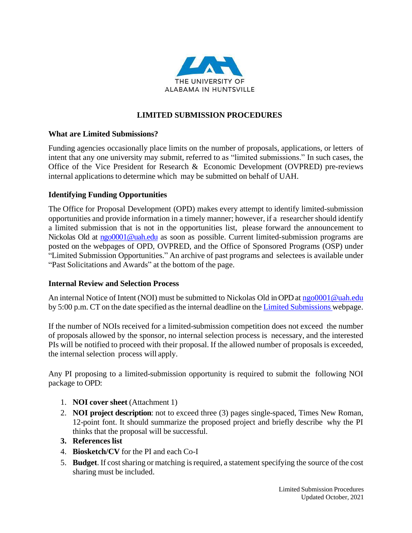

# **LIMITED SUBMISSION PROCEDURES**

## **What are Limited Submissions?**

Funding agencies occasionally place limits on the number of proposals, applications, or letters of intent that any one university may submit, referred to as "limited submissions." In such cases, the Office of the Vice President for Research & Economic Development (OVPRED) pre-reviews internal applications to determine which may be submitted on behalf of UAH.

## **Identifying Funding Opportunities**

The Office for Proposal Development (OPD) makes every attempt to identify limited-submission opportunities and provide information in a timely manner; however, if a researcher should identify a limited submission that is not in the opportunities list, please forward the announcement to Nickolas Old at [ngo0001@uah.edu](mailto:ngo0001@uah.edu) as soon as possible. Current limited-submission programs are posted on the webpages of OPD, OVPRED, and the Office of Sponsored Programs (OSP) under "Limited Submission Opportunities." An archive of past programs and selectees is available under "Past Solicitations and Awards" at the bottom of the page.

### **Internal Review and Selection Process**

An internal Notice of Intent (NOI) must be submitted to Nickolas Old in OPD at [ngo0001@uah.edu](mailto:ngo0001@uah.edu) by 5:00 p.m. CT on the date specified as the internal deadline on the Limited Submissions webpage.

If the number of NOIs received for a limited-submission competition does not exceed the number of proposals allowed by the sponsor, no internal selection process is necessary, and the interested PIs will be notified to proceed with their proposal. If the allowed number of proposals is exceeded, the internal selection process will apply.

Any PI proposing to a limited-submission opportunity is required to submit the following NOI package to OPD:

- 1. **NOI cover sheet** (Attachment 1)
- 2. **NOI project description**: not to exceed three (3) pages single-spaced, Times New Roman, 12-point font. It should summarize the proposed project and briefly describe why the PI thinks that the proposal will be successful.
- **3. References list**
- 4. **Biosketch/CV** for the PI and each Co-I
- 5. **Budget**. If cost sharing or matching is required, a statement specifying the source of the cost sharing must be included.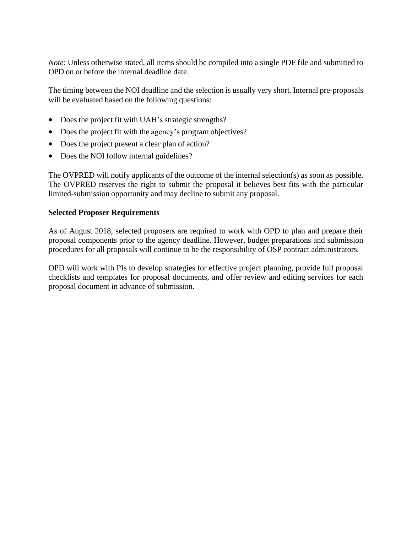*Note*: Unless otherwise stated, all items should be compiled into a single PDF file and submitted to OPD on or before the internal deadline date.

The timing between the NOI deadline and the selection is usually very short. Internal pre-proposals will be evaluated based on the following questions:

- Does the project fit with UAH's strategic strengths?
- Does the project fit with the agency's program objectives?
- Does the project present a clear plan of action?
- Does the NOI follow internal guidelines?

The OVPRED will notify applicants of the outcome of the internal selection(s) as soon as possible. The OVPRED reserves the right to submit the proposal it believes best fits with the particular limited-submission opportunity and may decline to submit any proposal.

# **Selected Proposer Requirements**

As of August 2018, selected proposers are required to work with OPD to plan and prepare their proposal components prior to the agency deadline. However, budget preparations and submission procedures for all proposals will continue to be the responsibility of OSP contract administrators.

OPD will work with PIs to develop strategies for effective project planning, provide full proposal checklists and templates for proposal documents, and offer review and editing services for each proposal document in advance of submission.